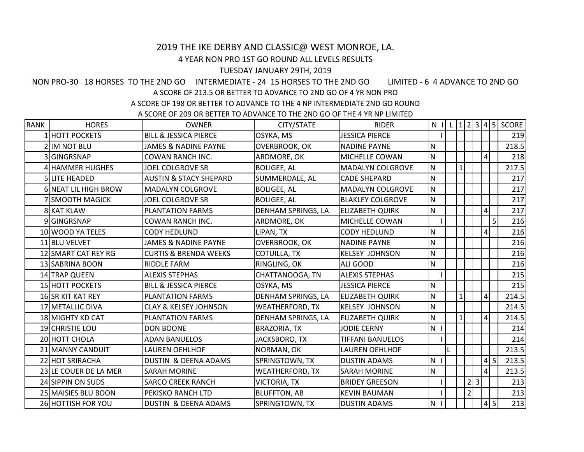## 2019 THE IKE DERBY AND CLASSIC@ WEST MONROE, LA.

## 4 YEAR NON PRO 1ST GO ROUND ALL LEVELS RESULTS

## TUESDAY JANUARY 29TH, 2019

A SCORE OF 213.5 OR BETTER TO ADVANCE TO 2ND GO OF 4 YR NON PRO NON PRO-30 18 HORSES TO THE 2ND GO INTERMEDIATE - 24 15 HORSES TO THE 2ND GO LIMITED - 6 4 ADVANCE TO 2ND GO

A SCORE OF 198 OR BETTER TO ADVANCE TO THE 4 NP INTERMEDIATE 2ND GO ROUND

A SCORE OF 209 OR BETTER TO ADVANCE TO THE 2ND GO OF THE 4 YR NP LIMITED

| <b>RANK</b> | <b>HORES</b>          | <b>OWNER</b>                      | CITY/STATE             | <b>RIDER</b>            |              |  |              |                |                |     | $N 1 L 1 2 3 4 5 $ SCORE |
|-------------|-----------------------|-----------------------------------|------------------------|-------------------------|--------------|--|--------------|----------------|----------------|-----|--------------------------|
|             | 1 HOTT POCKETS        | <b>BILL &amp; JESSICA PIERCE</b>  | OSYKA, MS              | <b>JESSICA PIERCE</b>   |              |  |              |                |                |     | 219                      |
|             | <b>IM NOT BLU</b>     | <b>JAMES &amp; NADINE PAYNE</b>   | <b>OVERBROOK, OK</b>   | <b>NADINE PAYNE</b>     | N            |  |              |                |                |     | 218.5                    |
|             | <b>GINGRSNAP</b>      | COWAN RANCH INC.                  | ARDMORE, OK            | MICHELLE COWAN          | N            |  |              |                | 4              |     | 218                      |
|             | <b>HAMMER HUGHES</b>  | JOEL COLGROVE SR                  | <b>BOLIGEE, AL</b>     | <b>MADALYN COLGROVE</b> | N            |  | $\mathbf{1}$ |                |                |     | 217.5                    |
|             | <b>5 LITE HEADED</b>  | <b>AUSTIN &amp; STACY SHEPARD</b> | SUMMERDALE, AL         | <b>CADE SHEPARD</b>     | N            |  |              |                |                |     | 217                      |
|             | 6 NEAT LIL HIGH BROW  | <b>MADALYN COLGROVE</b>           | <b>BOLIGEE, AL</b>     | <b>MADALYN COLGROVE</b> | ${\sf N}$    |  |              |                |                |     | 217                      |
|             | <b>SMOOTH MAGICK</b>  | <b>JOEL COLGROVE SR</b>           | <b>BOLIGEE, AL</b>     | <b>BLAKLEY COLGROVE</b> | N            |  |              |                |                |     | 217                      |
|             | 8 KAT KLAW            | PLANTATION FARMS                  | DENHAM SPRINGS, LA     | <b>ELIZABETH QUIRK</b>  | N            |  |              |                | 4              |     | 217                      |
|             | 9 GINGRSNAP           | COWAN RANCH INC.                  | ARDMORE, OK            | MICHELLE COWAN          |              |  |              |                |                | 5   | 216                      |
|             | 10 WOOD YA TELES      | <b>CODY HEDLUND</b>               | LIPAN, TX              | <b>CODY HEDLUND</b>     | ${\sf N}$    |  |              |                | $\overline{4}$ |     | 216                      |
|             | 11 BLU VELVET         | <b>JAMES &amp; NADINE PAYNE</b>   | <b>OVERBROOK, OK</b>   | <b>NADINE PAYNE</b>     | ${\sf N}$    |  |              |                |                |     | 216                      |
|             | 12 SMART CAT REY RG   | <b>CURTIS &amp; BRENDA WEEKS</b>  | COTUILLA, TX           | <b>KELSEY JOHNSON</b>   | N            |  |              |                |                |     | 216                      |
|             | 13 SABRINA BOON       | RIDDLE FARM                       | RINGLING, OK           | ALI GOOD                | N            |  |              |                |                |     | 216                      |
|             | 14 TRAP QUEEN         | <b>ALEXIS STEPHAS</b>             | CHATTANOOGA, TN        | <b>ALEXIS STEPHAS</b>   |              |  |              |                |                |     | 215                      |
|             | 15 HOTT POCKETS       | <b>BILL &amp; JESSICA PIERCE</b>  | OSYKA, MS              | <b>JESSICA PIERCE</b>   | $\mathsf{N}$ |  |              |                |                |     | 215                      |
|             | 16 SR KIT KAT REY     | PLANTATION FARMS                  | DENHAM SPRINGS, LA     | <b>ELIZABETH QUIRK</b>  | N            |  |              |                | 4              |     | 214.5                    |
|             | 17 METALLIC DIVA      | <b>CLAY &amp; KELSEY JOHNSON</b>  | <b>WEATHERFORD, TX</b> | <b>KELSEY JOHNSON</b>   | N            |  |              |                |                |     | 214.5                    |
|             | 18 MIGHTY KD CAT      | PLANTATION FARMS                  | DENHAM SPRINGS, LA     | <b>ELIZABETH QUIRK</b>  | N            |  |              |                | 4              |     | 214.5                    |
|             | 19 CHRISTIE LOU       | <b>DON BOONE</b>                  | <b>BRAZORIA, TX</b>    | <b>JODIE CERNY</b>      | $N$          |  |              |                |                |     | 214                      |
|             | 20 HOTT CHOLA         | <b>ADAN BANUELOS</b>              | JACKSBORO, TX          | <b>TIFFANI BANUELOS</b> |              |  |              |                |                |     | 214                      |
|             | 21 MANNY CANDUIT      | <b>LAUREN OEHLHOF</b>             | NORMAN, OK             | <b>LAUREN OEHLHOF</b>   |              |  |              |                |                |     | 213.5                    |
|             | 22 HOT SRIRACHA       | DUSTIN & DEENA ADAMS              | SPRINGTOWN, TX         | <b>DUSTIN ADAMS</b>     | ${\sf N}$    |  |              |                |                | 4 5 | 213.5                    |
|             | 23 LE COUER DE LA MER | <b>SARAH MORINE</b>               | <b>WEATHERFORD, TX</b> | <b>SARAH MORINE</b>     | $\mathsf{N}$ |  |              |                | 4              |     | 213.5                    |
|             | 24 SIPPIN ON SUDS     | <b>SARCO CREEK RANCH</b>          | <b>VICTORIA, TX</b>    | <b>BRIDEY GREESON</b>   |              |  |              | 2 3            |                |     | 213                      |
|             | 25 MAISIES BLU BOON   | PEKISKO RANCH LTD                 | <b>BLUFFTON, AB</b>    | <b>KEVIN BAUMAN</b>     |              |  |              | $\overline{2}$ |                |     | 213                      |
|             | 26 HOTTISH FOR YOU    | DUSTIN & DEENA ADAMS              | SPRINGTOWN, TX         | <b>DUSTIN ADAMS</b>     | ${\sf N}$    |  |              |                |                | 4 5 | 213                      |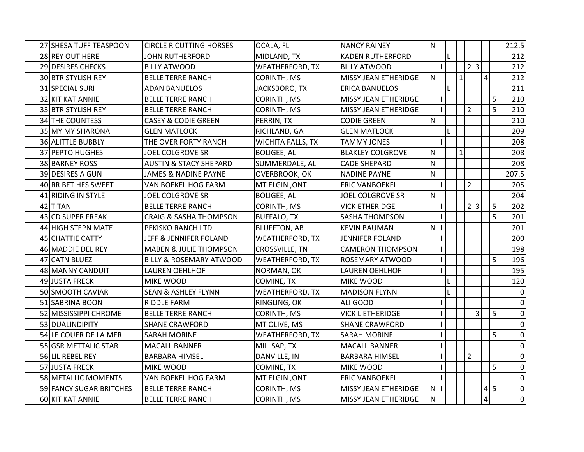| 27 SHESA TUFF TEASPOON    | <b>CIRCLE R CUTTING HORSES</b>    | OCALA, FL                | <b>NANCY RAINEY</b>         | N            |  |              |                |                 |                | 212.5          |
|---------------------------|-----------------------------------|--------------------------|-----------------------------|--------------|--|--------------|----------------|-----------------|----------------|----------------|
| 28 REY OUT HERE           | <b>JOHN RUTHERFORD</b>            | MIDLAND, TX              | <b>KADEN RUTHERFORD</b>     |              |  |              |                |                 |                | 212            |
| 29 DESIRES CHECKS         | <b>BILLY ATWOOD</b>               | <b>WEATHERFORD, TX</b>   | <b>BILLY ATWOOD</b>         |              |  |              | 2 3            |                 |                | 212            |
| <b>30 BTR STYLISH REY</b> | <b>BELLE TERRE RANCH</b>          | CORINTH, MS              | MISSY JEAN ETHERIDGE        | N            |  | $1\vert$     |                | $\pmb{4}$       |                | 212            |
| 31 SPECIAL SURI           | <b>ADAN BANUELOS</b>              | JACKSBORO, TX            | <b>ERICA BANUELOS</b>       |              |  |              |                |                 |                | 211            |
| <b>32 KIT KAT ANNIE</b>   | <b>BELLE TERRE RANCH</b>          | CORINTH, MS              | MISSY JEAN ETHERIDGE        |              |  |              |                |                 | 5              | 210            |
| 33 BTR STYLISH REY        | <b>BELLE TERRE RANCH</b>          | CORINTH, MS              | MISSY JEAN ETHERIDGE        |              |  |              | $\overline{2}$ |                 | $\overline{5}$ | 210            |
| 34 THE COUNTESS           | <b>CASEY &amp; CODIE GREEN</b>    | PERRIN, TX               | <b>CODIE GREEN</b>          | N            |  |              |                |                 |                | 210            |
| 35 MY MY SHARONA          | <b>GLEN MATLOCK</b>               | RICHLAND, GA             | <b>GLEN MATLOCK</b>         |              |  |              |                |                 |                | 209            |
| <b>36 ALITTLE BUBBLY</b>  | THE OVER FORTY RANCH              | <b>WICHITA FALLS, TX</b> | <b>TAMMY JONES</b>          |              |  |              |                |                 |                | 208            |
| 37 PEPTO HUGHES           | <b>JOEL COLGROVE SR</b>           | <b>BOLIGEE, AL</b>       | <b>BLAKLEY COLGROVE</b>     | N            |  | $\mathbf{1}$ |                |                 |                | 208            |
| 38 BARNEY ROSS            | <b>AUSTIN &amp; STACY SHEPARD</b> | SUMMERDALE, AL           | <b>CADE SHEPARD</b>         | $\mathsf{N}$ |  |              |                |                 |                | 208            |
| 39 DESIRES A GUN          | JAMES & NADINE PAYNE              | OVERBROOK, OK            | <b>NADINE PAYNE</b>         | N            |  |              |                |                 |                | 207.5          |
| 40 RR BET HES SWEET       | VAN BOEKEL HOG FARM               | MT ELGIN, ONT            | <b>ERIC VANBOEKEL</b>       |              |  |              | $\overline{2}$ |                 |                | 205            |
| 41 RIDING IN STYLE        | <b>JOEL COLGROVE SR</b>           | <b>BOLIGEE, AL</b>       | <b>JOEL COLGROVE SR</b>     | N            |  |              |                |                 |                | 204            |
| 42 TITAN                  | <b>BELLE TERRE RANCH</b>          | CORINTH, MS              | VICK ETHERIDGE              |              |  |              | 2 3            |                 | $\overline{5}$ | 202            |
| 43 CD SUPER FREAK         | <b>CRAIG &amp; SASHA THOMPSON</b> | <b>BUFFALO, TX</b>       | <b>SASHA THOMPSON</b>       |              |  |              |                |                 | 5 <sup>1</sup> | 201            |
| 44 HIGH STEPN MATE        | PEKISKO RANCH LTD                 | <b>BLUFFTON, AB</b>      | <b>KEVIN BAUMAN</b>         | N            |  |              |                |                 |                | 201            |
| 45 CHATTIE CATTY          | JEFF & JENNIFER FOLAND            | <b>WEATHERFORD, TX</b>   | <b>JENNIFER FOLAND</b>      |              |  |              |                |                 |                | 200            |
| 46 MADDIE DEL REY         | <b>MABEN &amp; JULIE THOMPSON</b> | CROSSVILLE, TN           | <b>CAMERON THOMPSON</b>     |              |  |              |                |                 |                | 198            |
| 47 CATN BLUEZ             | BILLY & ROSEMARY ATWOOD           | <b>WEATHERFORD, TX</b>   | ROSEMARY ATWOOD             |              |  |              |                |                 | 5              | 196            |
| 48 MANNY CANDUIT          | <b>LAUREN OEHLHOF</b>             | NORMAN, OK               | <b>LAUREN OEHLHOF</b>       |              |  |              |                |                 |                | 195            |
| 49 JUSTA FRECK            | <b>MIKE WOOD</b>                  | COMINE, TX               | <b>MIKE WOOD</b>            |              |  |              |                |                 |                | 120            |
| 50 SMOOTH CAVIAR          | <b>SEAN &amp; ASHLEY FLYNN</b>    | <b>WEATHERFORD, TX</b>   | <b>MADISON FLYNN</b>        |              |  |              |                |                 |                | $\Omega$       |
| 51 SABRINA BOON           | <b>RIDDLE FARM</b>                | RINGLING, OK             | ALI GOOD                    |              |  |              |                |                 |                | $\Omega$       |
| 52 MISSISSIPPI CHROME     | <b>BELLE TERRE RANCH</b>          | CORINTH, MS              | <b>VICK L ETHERIDGE</b>     |              |  |              |                | $\vert$ 3       | $\overline{5}$ | $\Omega$       |
| 53 DUALINDIPITY           | <b>SHANE CRAWFORD</b>             | MT OLIVE, MS             | <b>SHANE CRAWFORD</b>       |              |  |              |                |                 |                | $\Omega$       |
| 54 LE COUER DE LA MER     | <b>SARAH MORINE</b>               | <b>WEATHERFORD, TX</b>   | <b>SARAH MORINE</b>         |              |  |              |                |                 | 5              | $\Omega$       |
| 55 GSR METTALIC STAR      | <b>MACALL BANNER</b>              | MILLSAP, TX              | <b>MACALL BANNER</b>        |              |  |              |                |                 |                | $\Omega$       |
| 56 LIL REBEL REY          | <b>BARBARA HIMSEL</b>             | DANVILLE, IN             | <b>BARBARA HIMSEL</b>       |              |  |              | $\overline{2}$ |                 |                | $\Omega$       |
| 57 JUSTA FRECK            | MIKE WOOD                         | COMINE, TX               | <b>MIKE WOOD</b>            |              |  |              |                |                 | 5              | $\Omega$       |
| 58 METALLIC MOMENTS       | VAN BOEKEL HOG FARM               | MT ELGIN, ONT            | <b>ERIC VANBOEKEL</b>       |              |  |              |                |                 |                | 0              |
| 59 FANCY SUGAR BRITCHES   | <b>BELLE TERRE RANCH</b>          | CORINTH, MS              | <b>MISSY JEAN ETHERIDGE</b> | N            |  |              |                |                 | 4 5            | $\overline{0}$ |
| 60 KIT KAT ANNIE          | <b>BELLE TERRE RANCH</b>          | CORINTH, MS              | <b>MISSY JEAN ETHERIDGE</b> | N            |  |              |                | $\vert 4 \vert$ |                | 0              |